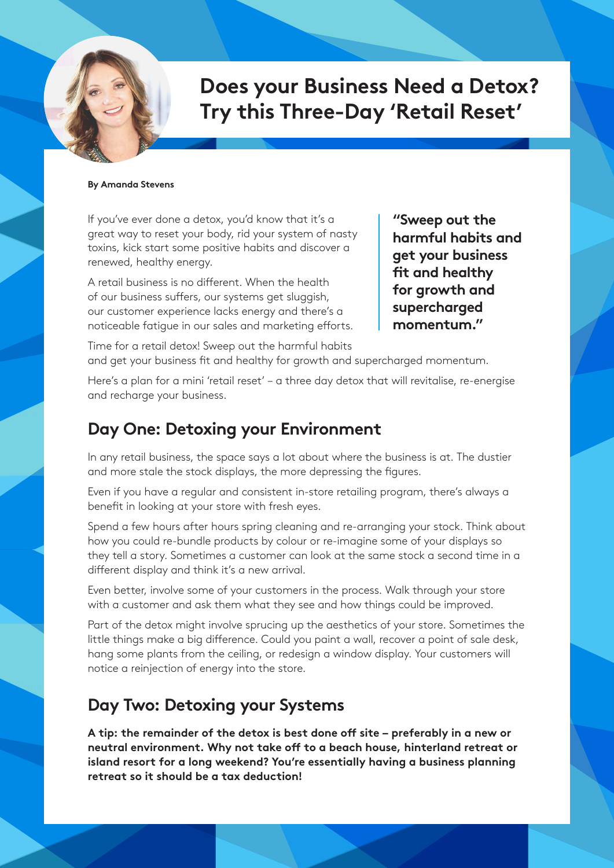# **Does your Business Need a Detox? Try this Three-Day 'Retail Reset'**

#### **By Amanda Stevens**

If you've ever done a detox, you'd know that it's a great way to reset your body, rid your system of nasty toxins, kick start some positive habits and discover a renewed, healthy energy.

A retail business is no different. When the health of our business suffers, our systems get sluggish, our customer experience lacks energy and there's a noticeable fatigue in our sales and marketing efforts.

**"Sweep out the harmful habits and get your business fit and healthy for growth and supercharged momentum."** 

Time for a retail detox! Sweep out the harmful habits and get your business fit and healthy for growth and supercharged momentum.

Here's a plan for a mini 'retail reset' – a three day detox that will revitalise, re-energise and recharge your business.

## **Day One: Detoxing your Environment**

In any retail business, the space says a lot about where the business is at. The dustier and more stale the stock displays, the more depressing the figures.

Even if you have a regular and consistent in-store retailing program, there's always a benefit in looking at your store with fresh eyes.

Spend a few hours after hours spring cleaning and re-arranging your stock. Think about how you could re-bundle products by colour or re-imagine some of your displays so they tell a story. Sometimes a customer can look at the same stock a second time in a different display and think it's a new arrival.

Even better, involve some of your customers in the process. Walk through your store with a customer and ask them what they see and how things could be improved.

Part of the detox might involve sprucing up the aesthetics of your store. Sometimes the little things make a big difference. Could you paint a wall, recover a point of sale desk, hang some plants from the ceiling, or redesign a window display. Your customers will notice a reinjection of energy into the store.

### **Day Two: Detoxing your Systems**

**A tip: the remainder of the detox is best done off site – preferably in a new or neutral environment. Why not take off to a beach house, hinterland retreat or island resort for a long weekend? You're essentially having a business planning retreat so it should be a tax deduction!**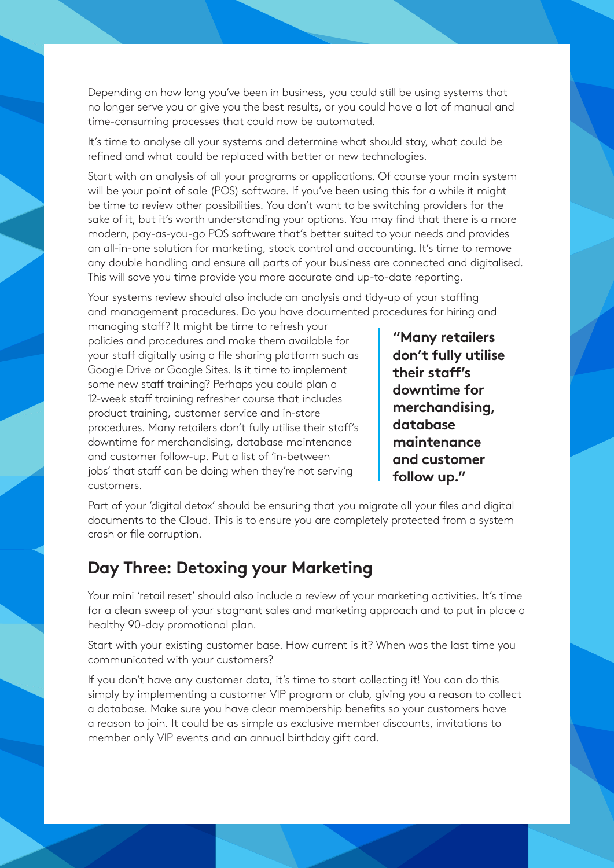Depending on how long you've been in business, you could still be using systems that no longer serve you or give you the best results, or you could have a lot of manual and time-consuming processes that could now be automated.

It's time to analyse all your systems and determine what should stay, what could be refined and what could be replaced with better or new technologies.

Start with an analysis of all your programs or applications. Of course your main system will be your point of sale (POS) software. If you've been using this for a while it might be time to review other possibilities. You don't want to be switching providers for the sake of it, but it's worth understanding your options. You may find that there is a more modern, pay-as-you-go POS software that's better suited to your needs and provides an all-in-one solution for marketing, stock control and accounting. It's time to remove any double handling and ensure all parts of your business are connected and digitalised. This will save you time provide you more accurate and up-to-date reporting.

Your systems review should also include an analysis and tidy-up of your staffing and management procedures. Do you have documented procedures for hiring and

managing staff? It might be time to refresh your policies and procedures and make them available for your staff digitally using a file sharing platform such as Google Drive or Google Sites. Is it time to implement some new staff training? Perhaps you could plan a 12-week staff training refresher course that includes product training, customer service and in-store procedures. Many retailers don't fully utilise their staff's downtime for merchandising, database maintenance and customer follow-up. Put a list of 'in-between jobs' that staff can be doing when they're not serving customers.

**"Many retailers don't fully utilise their staff's downtime for merchandising, database maintenance and customer follow up."** 

Part of your 'digital detox' should be ensuring that you migrate all your files and digital documents to the Cloud. This is to ensure you are completely protected from a system crash or file corruption.

#### **Day Three: Detoxing your Marketing**

Your mini 'retail reset' should also include a review of your marketing activities. It's time for a clean sweep of your stagnant sales and marketing approach and to put in place a healthy 90-day promotional plan.

Start with your existing customer base. How current is it? When was the last time you communicated with your customers?

If you don't have any customer data, it's time to start collecting it! You can do this simply by implementing a customer VIP program or club, giving you a reason to collect a database. Make sure you have clear membership benefits so your customers have a reason to join. It could be as simple as exclusive member discounts, invitations to member only VIP events and an annual birthday gift card.